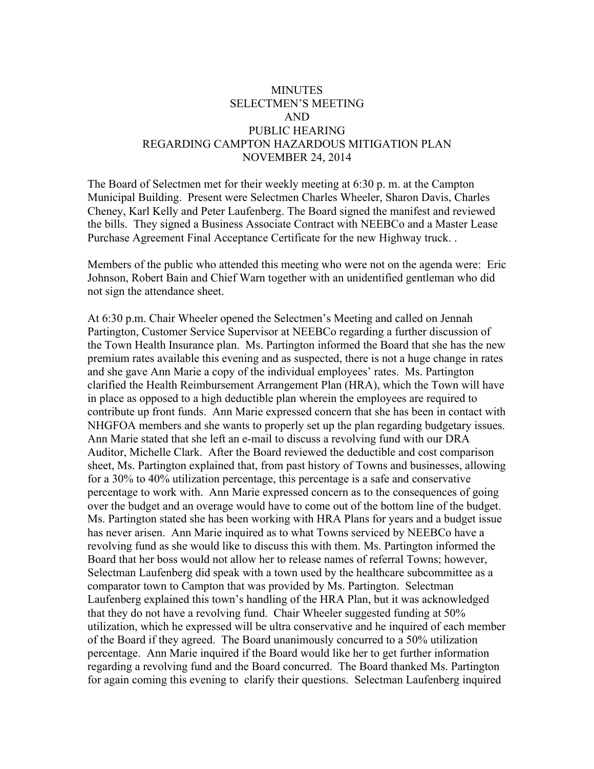## **MINUTES** SELECTMEN'S MEETING AND PUBLIC HEARING REGARDING CAMPTON HAZARDOUS MITIGATION PLAN NOVEMBER 24, 2014

The Board of Selectmen met for their weekly meeting at 6:30 p. m. at the Campton Municipal Building. Present were Selectmen Charles Wheeler, Sharon Davis, Charles Cheney, Karl Kelly and Peter Laufenberg. The Board signed the manifest and reviewed the bills. They signed a Business Associate Contract with NEEBCo and a Master Lease Purchase Agreement Final Acceptance Certificate for the new Highway truck. .

Members of the public who attended this meeting who were not on the agenda were: Eric Johnson, Robert Bain and Chief Warn together with an unidentified gentleman who did not sign the attendance sheet.

At 6:30 p.m. Chair Wheeler opened the Selectmen's Meeting and called on Jennah Partington, Customer Service Supervisor at NEEBCo regarding a further discussion of the Town Health Insurance plan. Ms. Partington informed the Board that she has the new premium rates available this evening and as suspected, there is not a huge change in rates and she gave Ann Marie a copy of the individual employees' rates. Ms. Partington clarified the Health Reimbursement Arrangement Plan (HRA), which the Town will have in place as opposed to a high deductible plan wherein the employees are required to contribute up front funds. Ann Marie expressed concern that she has been in contact with NHGFOA members and she wants to properly set up the plan regarding budgetary issues. Ann Marie stated that she left an e-mail to discuss a revolving fund with our DRA Auditor, Michelle Clark. After the Board reviewed the deductible and cost comparison sheet, Ms. Partington explained that, from past history of Towns and businesses, allowing for a 30% to 40% utilization percentage, this percentage is a safe and conservative percentage to work with. Ann Marie expressed concern as to the consequences of going over the budget and an overage would have to come out of the bottom line of the budget. Ms. Partington stated she has been working with HRA Plans for years and a budget issue has never arisen. Ann Marie inquired as to what Towns serviced by NEEBCo have a revolving fund as she would like to discuss this with them. Ms. Partington informed the Board that her boss would not allow her to release names of referral Towns; however, Selectman Laufenberg did speak with a town used by the healthcare subcommittee as a comparator town to Campton that was provided by Ms. Partington. Selectman Laufenberg explained this town's handling of the HRA Plan, but it was acknowledged that they do not have a revolving fund. Chair Wheeler suggested funding at 50% utilization, which he expressed will be ultra conservative and he inquired of each member of the Board if they agreed. The Board unanimously concurred to a 50% utilization percentage. Ann Marie inquired if the Board would like her to get further information regarding a revolving fund and the Board concurred. The Board thanked Ms. Partington for again coming this evening to clarify their questions. Selectman Laufenberg inquired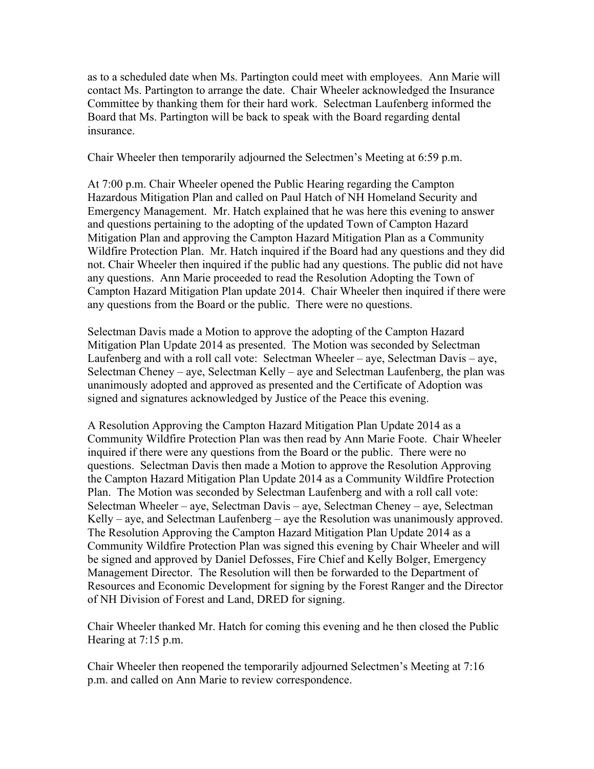as to a scheduled date when Ms. Partington could meet with employees. Ann Marie will contact Ms. Partington to arrange the date. Chair Wheeler acknowledged the Insurance Committee by thanking them for their hard work. Selectman Laufenberg informed the Board that Ms. Partington will be back to speak with the Board regarding dental insurance.

Chair Wheeler then temporarily adjourned the Selectmen's Meeting at 6:59 p.m.

At 7:00 p.m. Chair Wheeler opened the Public Hearing regarding the Campton Hazardous Mitigation Plan and called on Paul Hatch of NH Homeland Security and Emergency Management. Mr. Hatch explained that he was here this evening to answer and questions pertaining to the adopting of the updated Town of Campton Hazard Mitigation Plan and approving the Campton Hazard Mitigation Plan as a Community Wildfire Protection Plan. Mr. Hatch inquired if the Board had any questions and they did not. Chair Wheeler then inquired if the public had any questions. The public did not have any questions. Ann Marie proceeded to read the Resolution Adopting the Town of Campton Hazard Mitigation Plan update 2014. Chair Wheeler then inquired if there were any questions from the Board or the public. There were no questions.

Selectman Davis made a Motion to approve the adopting of the Campton Hazard Mitigation Plan Update 2014 as presented. The Motion was seconded by Selectman Laufenberg and with a roll call vote: Selectman Wheeler – aye, Selectman Davis – aye, Selectman Cheney – aye, Selectman Kelly – aye and Selectman Laufenberg, the plan was unanimously adopted and approved as presented and the Certificate of Adoption was signed and signatures acknowledged by Justice of the Peace this evening.

A Resolution Approving the Campton Hazard Mitigation Plan Update 2014 as a Community Wildfire Protection Plan was then read by Ann Marie Foote. Chair Wheeler inquired if there were any questions from the Board or the public. There were no questions. Selectman Davis then made a Motion to approve the Resolution Approving the Campton Hazard Mitigation Plan Update 2014 as a Community Wildfire Protection Plan. The Motion was seconded by Selectman Laufenberg and with a roll call vote: Selectman Wheeler – aye, Selectman Davis – aye, Selectman Cheney – aye, Selectman Kelly – aye, and Selectman Laufenberg – aye the Resolution was unanimously approved. The Resolution Approving the Campton Hazard Mitigation Plan Update 2014 as a Community Wildfire Protection Plan was signed this evening by Chair Wheeler and will be signed and approved by Daniel Defosses, Fire Chief and Kelly Bolger, Emergency Management Director. The Resolution will then be forwarded to the Department of Resources and Economic Development for signing by the Forest Ranger and the Director of NH Division of Forest and Land, DRED for signing.

Chair Wheeler thanked Mr. Hatch for coming this evening and he then closed the Public Hearing at 7:15 p.m.

Chair Wheeler then reopened the temporarily adjourned Selectmen's Meeting at 7:16 p.m. and called on Ann Marie to review correspondence.